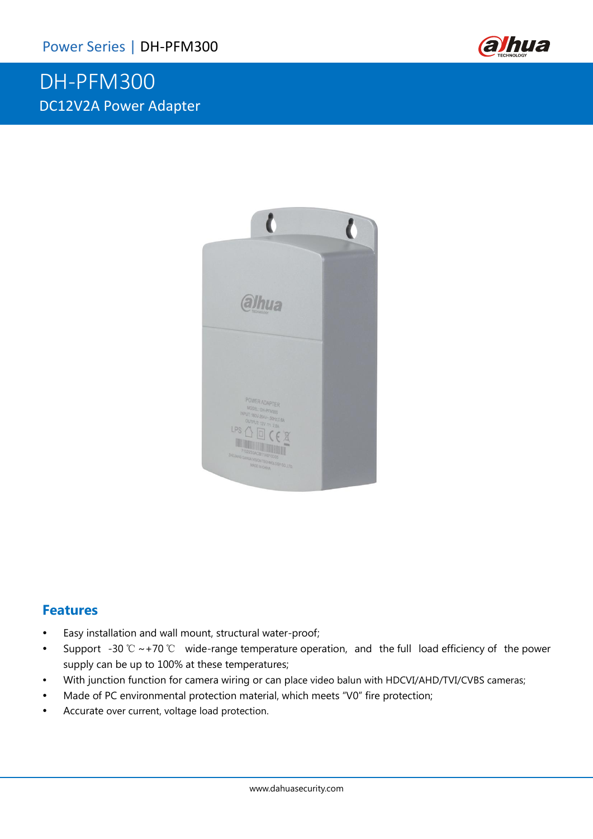# DH-PFM300 DC12V2A Power Adapter





#### **Features**

- Easy installation and wall mount, structural water-proof;
- Support -30 ℃ ~+70 ℃ wide-range temperature operation, and the full load efficiency of the power supply can be up to 100% at these temperatures;
- With junction function for camera wiring or can place video balun with HDCVI/AHD/TVI/CVBS cameras;
- Made of PC environmental protection material, which meets "V0" fire protection;
- Accurate over current, voltage load protection.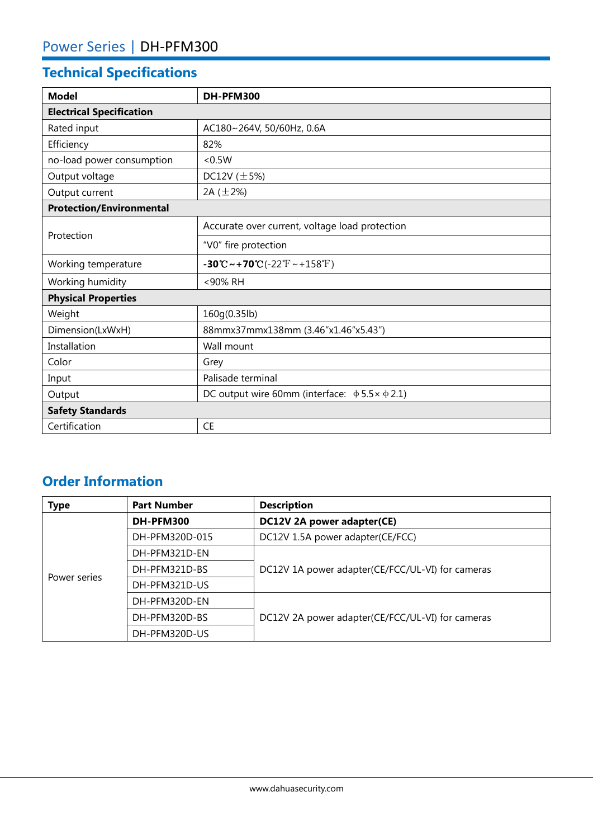## **Technical Specifications**

| <b>Model</b>                    | DH-PFM300                                                                                      |  |  |
|---------------------------------|------------------------------------------------------------------------------------------------|--|--|
| <b>Electrical Specification</b> |                                                                                                |  |  |
| Rated input                     | AC180~264V, 50/60Hz, 0.6A                                                                      |  |  |
| Efficiency                      | 82%                                                                                            |  |  |
| no-load power consumption       | < 0.5W                                                                                         |  |  |
| Output voltage                  | DC12V $(\pm 5\%)$                                                                              |  |  |
| Output current                  | 2A $(\pm 2\%)$                                                                                 |  |  |
| <b>Protection/Environmental</b> |                                                                                                |  |  |
| Protection                      | Accurate over current, voltage load protection                                                 |  |  |
|                                 | "V0" fire protection                                                                           |  |  |
| Working temperature             | $-30^{\circ}\text{C} \sim +70^{\circ}\text{C} (-22^{\circ}\text{F} \sim +158^{\circ}\text{F})$ |  |  |
| Working humidity                | <90% RH                                                                                        |  |  |
| <b>Physical Properties</b>      |                                                                                                |  |  |
| Weight                          | 160g(0.35lb)                                                                                   |  |  |
| Dimension(LxWxH)                | 88mmx37mmx138mm (3.46"x1.46"x5.43")                                                            |  |  |
| Installation                    | Wall mount                                                                                     |  |  |
| Color                           | Grey                                                                                           |  |  |
| Input                           | Palisade terminal                                                                              |  |  |
| Output                          | DC output wire 60mm (interface: $\Phi$ 5.5 $\times$ $\Phi$ 2.1)                                |  |  |
| <b>Safety Standards</b>         |                                                                                                |  |  |
| Certification                   | <b>CE</b>                                                                                      |  |  |

### **Order Information**

| <b>Type</b>  | <b>Part Number</b> | <b>Description</b>                               |  |
|--------------|--------------------|--------------------------------------------------|--|
| Power series | DH-PFM300          | DC12V 2A power adapter(CE)                       |  |
|              | DH-PFM320D-015     | DC12V 1.5A power adapter(CE/FCC)                 |  |
|              | DH-PFM321D-EN      |                                                  |  |
|              | DH-PFM321D-BS      | DC12V 1A power adapter(CE/FCC/UL-VI) for cameras |  |
|              | DH-PFM321D-US      |                                                  |  |
|              | DH-PFM320D-EN      |                                                  |  |
|              | DH-PFM320D-BS      | DC12V 2A power adapter(CE/FCC/UL-VI) for cameras |  |
|              | DH-PFM320D-US      |                                                  |  |